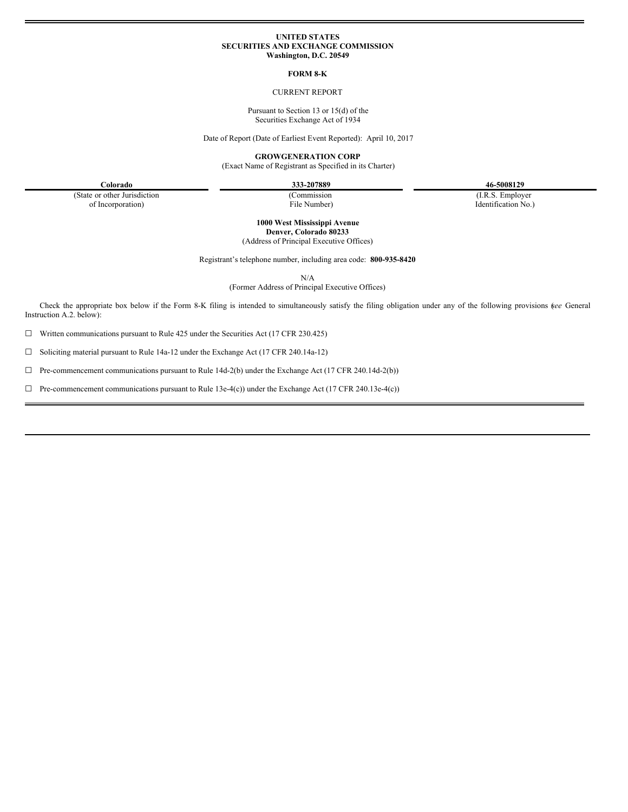### **UNITED STATES SECURITIES AND EXCHANGE COMMISSION Washington, D.C. 20549**

### **FORM 8-K**

# CURRENT REPORT

Pursuant to Section 13 or 15(d) of the Securities Exchange Act of 1934

Date of Report (Date of Earliest Event Reported): April 10, 2017

**GROWGENERATION CORP**

(Exact Name of Registrant as Specified in its Charter)

**Colorado 333-207889 46-5008129**

(State or other Jurisdiction of Incorporation)

(Commission File Number)

(I.R.S. Employer Identification No.)

**1000 West Mississippi Avenue Denver, Colorado 80233** (Address of Principal Executive Offices)

Registrant's telephone number, including area code: **800-935-8420**

N/A

(Former Address of Principal Executive Offices)

Check the appropriate box below if the Form 8-K filing is intended to simultaneously satisfy the filing obligation under any of the following provisions (*see* General Instruction A.2. below):

☐ Written communications pursuant to Rule 425 under the Securities Act (17 CFR 230.425)

☐ Soliciting material pursuant to Rule 14a-12 under the Exchange Act (17 CFR 240.14a-12)

☐ Pre-commencement communications pursuant to Rule 14d-2(b) under the Exchange Act (17 CFR 240.14d-2(b))

☐ Pre-commencement communications pursuant to Rule 13e-4(c)) under the Exchange Act (17 CFR 240.13e-4(c))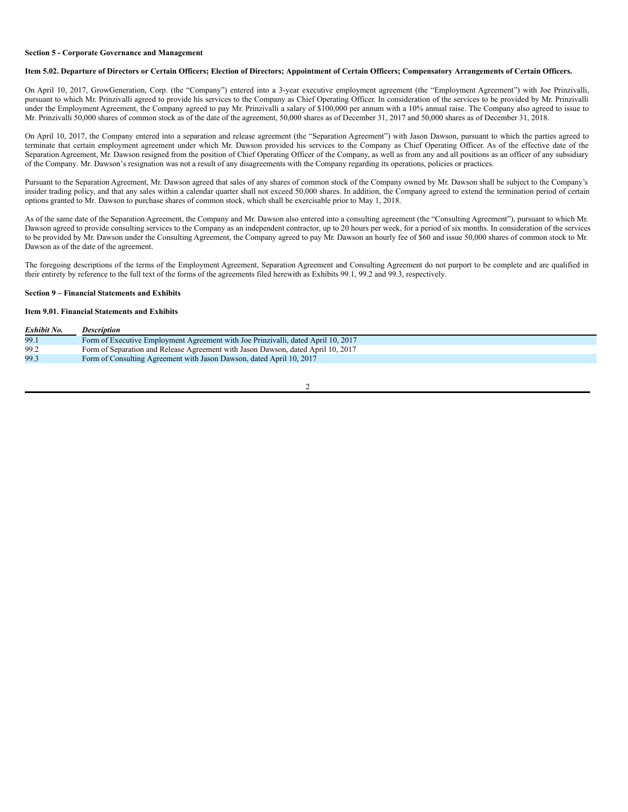#### **Section 5 - Corporate Governance and Management**

### Item 5.02. Departure of Directors or Certain Officers; Election of Directors; Appointment of Certain Officers; Compensatory Arrangements of Certain Officers.

On April 10, 2017, GrowGeneration, Corp. (the "Company") entered into a 3-year executive employment agreement (the "Employment Agreement") with Joe Prinzivalli, pursuant to which Mr. Prinzivalli agreed to provide his services to the Company as Chief Operating Officer. In consideration of the services to be provided by Mr. Prinzivalli under the Employment Agreement, the Company agreed to pay Mr. Prinzivalli a salary of \$100,000 per annum with a 10% annual raise. The Company also agreed to issue to Mr. Prinzivalli 50,000 shares of common stock as of the date of the agreement, 50,000 shares as of December 31, 2017 and 50,000 shares as of December 31, 2018.

On April 10, 2017, the Company entered into a separation and release agreement (the "Separation Agreement") with Jason Dawson, pursuant to which the parties agreed to terminate that certain employment agreement under which Mr. Dawson provided his services to the Company as Chief Operating Officer. As of the effective date of the Separation Agreement, Mr. Dawson resigned from the position of Chief Operating Officer of the Company, as well as from any and all positions as an officer of any subsidiary of the Company. Mr. Dawson's resignation was not a result of any disagreements with the Company regarding its operations, policies or practices.

Pursuant to the Separation Agreement, Mr. Dawson agreed that sales of any shares of common stock of the Company owned by Mr. Dawson shall be subject to the Company's insider trading policy, and that any sales within a calendar quarter shall not exceed 50,000 shares. In addition, the Company agreed to extend the termination period of certain options granted to Mr. Dawson to purchase shares of common stock, which shall be exercisable prior to May 1, 2018.

As of the same date of the Separation Agreement, the Company and Mr. Dawson also entered into a consulting agreement (the "Consulting Agreement"), pursuant to which Mr. Dawson agreed to provide consulting services to the Company as an independent contractor, up to 20 hours per week, for a period of six months. In consideration of the services to be provided by Mr. Dawson under the Consulting Agreement, the Company agreed to pay Mr. Dawson an hourly fee of \$60 and issue 50,000 shares of common stock to Mr. Dawson as of the date of the agreement.

The foregoing descriptions of the terms of the Employment Agreement, Separation Agreement and Consulting Agreement do not purport to be complete and are qualified in their entirety by reference to the full text of the forms of the agreements filed herewith as Exhibits 99.1, 99.2 and 99.3, respectively.

### **Section 9 – Financial Statements and Exhibits**

# **Item 9.01. Financial Statements and Exhibits**

| Exhibit No. | <i>Description</i>                                                                |
|-------------|-----------------------------------------------------------------------------------|
| 99.1        | Form of Executive Employment Agreement with Joe Prinzivalli, dated April 10, 2017 |
| 99.2        | Form of Separation and Release Agreement with Jason Dawson, dated April 10, 2017  |
| 99.3        | Form of Consulting Agreement with Jason Dawson, dated April 10, 2017              |
|             |                                                                                   |

### $\overline{2}$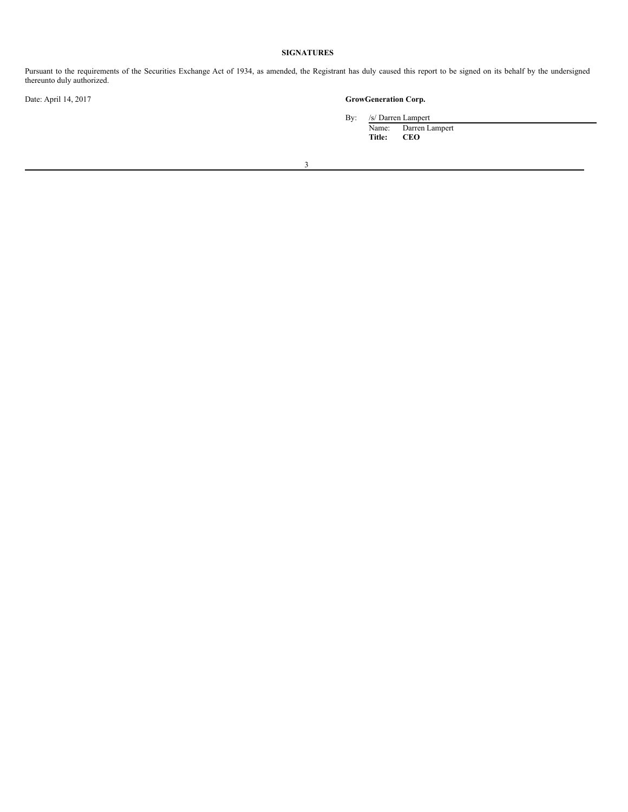# **SIGNATURES**

Pursuant to the requirements of the Securities Exchange Act of 1934, as amended, the Registrant has duly caused this report to be signed on its behalf by the undersigned thereunto duly authorized.

# Date: April 14, 2017 **GrowGeneration Corp.**

By: /s/ Darren Lampert Name: Darren Lampert

**Title: CEO**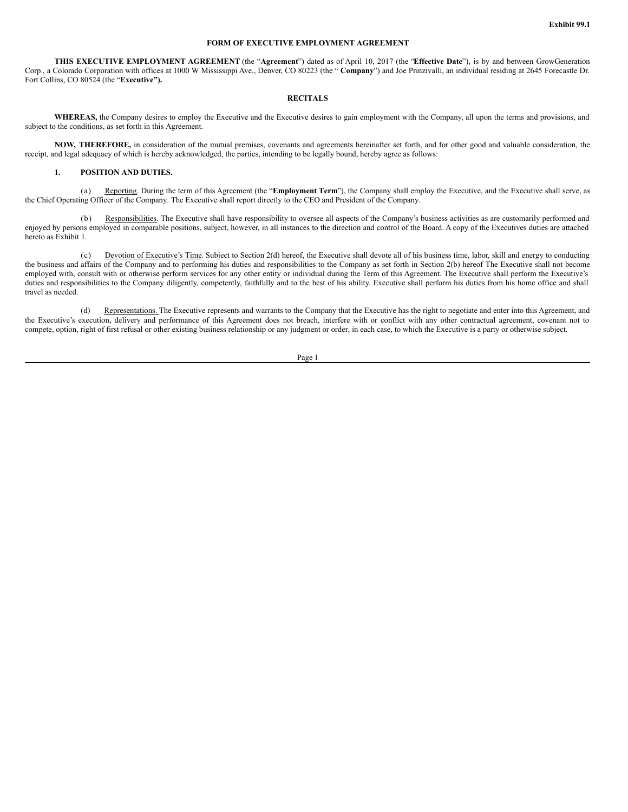## **FORM OF EXECUTIVE EMPLOYMENT AGREEMENT**

**THIS EXECUTIVE EMPLOYMENT AGREEMENT** (the "**Agreement**") dated as of April 10, 2017 (the "**Effective Date**"), is by and between GrowGeneration Corp., a Colorado Corporation with offices at 1000 W Mississippi Ave., Denver, CO 80223 (the " **Company**") and Joe Prinzivalli, an individual residing at 2645 Forecastle Dr. Fort Collins, CO 80524 (the "**Executive").**

# **RECITALS**

**WHEREAS,** the Company desires to employ the Executive and the Executive desires to gain employment with the Company, all upon the terms and provisions, and subject to the conditions, as set forth in this Agreement.

**NOW, THEREFORE,** in consideration of the mutual premises, covenants and agreements hereinafter set forth, and for other good and valuable consideration, the receipt, and legal adequacy of which is hereby acknowledged, the parties, intending to be legally bound, hereby agree as follows:

# **1. POSITION AND DUTIES.**

(a) Reporting. During the term of this Agreement (the "**Employment Term**"), the Company shall employ the Executive, and the Executive shall serve, as the Chief Operating Officer of the Company. The Executive shall report directly to the CEO and President of the Company.

(b) Responsibilities. The Executive shall have responsibility to oversee all aspects of the Company's business activities as are customarily performed and enjoyed by persons employed in comparable positions, subject, however, in all instances to the direction and control of the Board. A copy of the Executives duties are attached hereto as Exhibit 1.

(c) Devotion of Executive's Time. Subject to Section 2(d) hereof, the Executive shall devote all of his business time, labor, skill and energy to conducting the business and affairs of the Company and to performing his duties and responsibilities to the Company as set forth in Section 2(b) hereof The Executive shall not become employed with, consult with or otherwise perform services for any other entity or individual during the Term of this Agreement. The Executive shall perform the Executive's duties and responsibilities to the Company diligently, competently, faithfully and to the best of his ability. Executive shall perform his duties from his home office and shall travel as needed.

(d) Representations. The Executive represents and warrants to the Company that the Executive has the right to negotiate and enter into this Agreement, and the Executive's execution, delivery and performance of this Agreement does not breach, interfere with or conflict with any other contractual agreement, covenant not to compete, option, right of first refusal or other existing business relationship or any judgment or order, in each case, to which the Executive is a party or otherwise subject.

Page 1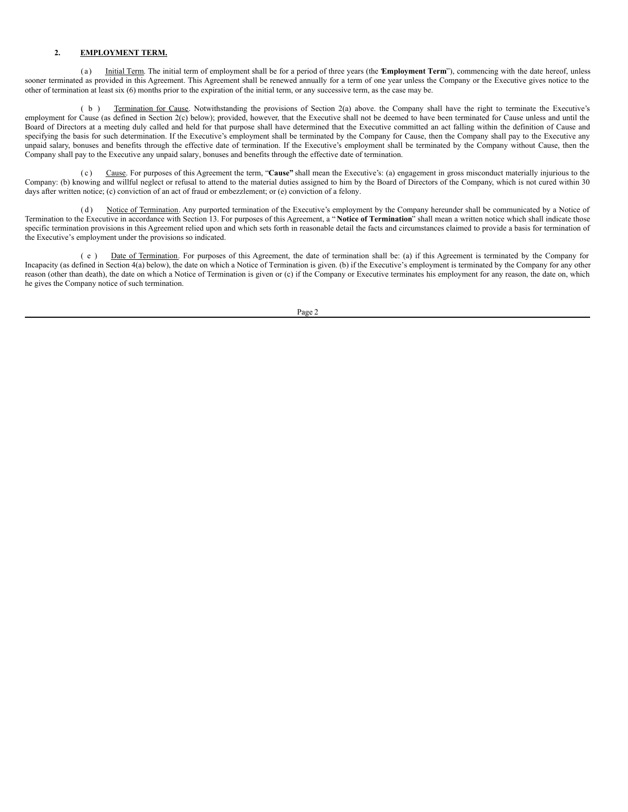# **2. EMPLOYMENT TERM.**

(a) Initial Term. The initial term of employment shall be for a period of three years (the **Employment Term**"), commencing with the date hereof, unless sooner terminated as provided in this Agreement. This Agreement shall be renewed annually for a term of one year unless the Company or the Executive gives notice to the other of termination at least six (6) months prior to the expiration of the initial term, or any successive term, as the case may be.

( b ) Termination for Cause. Notwithstanding the provisions of Section 2(a) above. the Company shall have the right to terminate the Executive's employment for Cause (as defined in Section  $2(c)$  below); provided, however, that the Executive shall not be deemed to have been terminated for Cause unless and until the Board of Directors at a meeting duly called and held for that purpose shall have determined that the Executive committed an act falling within the definition of Cause and specifying the basis for such determination. If the Executive's employment shall be terminated by the Company for Cause, then the Company shall pay to the Executive any unpaid salary, bonuses and benefits through the effective date of termination. If the Executive's employment shall be terminated by the Company without Cause, then the Company shall pay to the Executive any unpaid salary, bonuses and benefits through the effective date of termination.

Cause. For purposes of this Agreement the term, "Cause" shall mean the Executive's: (a) engagement in gross misconduct materially injurious to the Company: (b) knowing and willful neglect or refusal to attend to the material duties assigned to him by the Board of Directors of the Company, which is not cured within 30 days after written notice; (c) conviction of an act of fraud or embezzlement; or (e) conviction of a felony.

(d) Notice of Termination. Any purported termination of the Executive's employment by the Company hereunder shall be communicated by a Notice of Termination to the Executive in accordance with Section 13. For purposes of this Agreement, a " **Notice of Termination**" shall mean a written notice which shall indicate those specific termination provisions in this Agreement relied upon and which sets forth in reasonable detail the facts and circumstances claimed to provide a basis for termination of the Executive's employment under the provisions so indicated.

( e ) Date of Termination. For purposes of this Agreement, the date of termination shall be: (a) if this Agreement is terminated by the Company for Incapacity (as defined in Section 4(a) below), the date on which a Notice of Termination is given. (b) if the Executive's employment is terminated by the Company for any other reason (other than death), the date on which a Notice of Termination is given or (c) if the Company or Executive terminates his employment for any reason, the date on, which he gives the Company notice of such termination.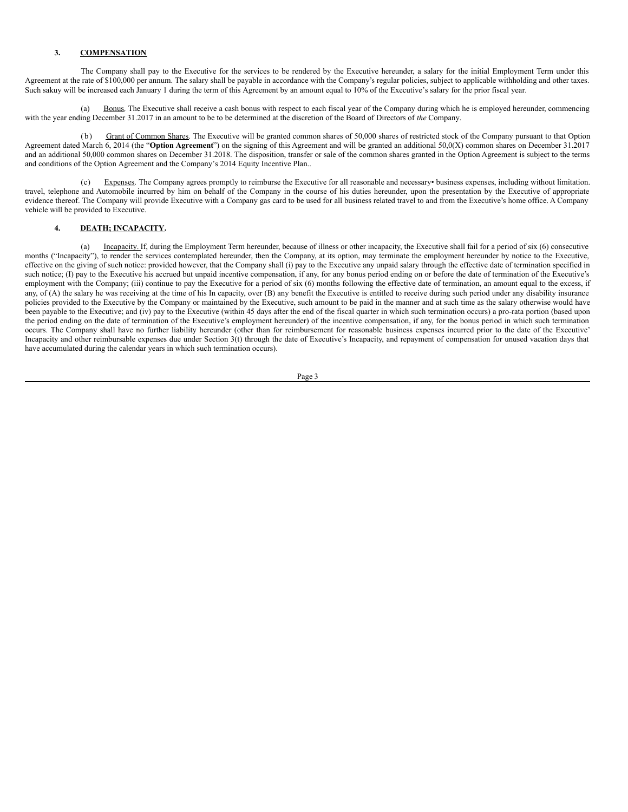## **3. COMPENSATION**

The Company shall pay to the Executive for the services to be rendered by the Executive hereunder, a salary for the initial Employment Term under this Agreement at the rate of \$100,000 per annum. The salary shall be payable in accordance with the Company's regular policies, subject to applicable withholding and other taxes. Such sakuy will be increased each January 1 during the term of this Agreement by an amount equal to 10% of the Executive's salary for the prior fiscal year.

(a) Bonus. The Executive shall receive a cash bonus with respect to each fiscal year of the Company during which he is employed hereunder, commencing with the year ending December 31.2017 in an amount to be to be determined at the discretion of the Board of Directors of *the* Company.

(b) Grant of Common Shares. The Executive will be granted common shares of 50,000 shares of restricted stock of the Company pursuant to that Option Agreement dated March 6, 2014 (the "**Option Agreement**") on the signing of this Agreement and will be granted an additional 50,0(X) common shares on December 31.2017 and an additional 50,000 common shares on December 31.2018. The disposition, transfer or sale of the common shares granted in the Option Agreement is subject to the terms and conditions of the Option Agreement and the Company's 2014 Equity Incentive Plan..

(c) Expenses. The Company agrees promptly to reimburse the Executive for all reasonable and necessary• business expenses, including without limitation. travel, telephone and Automobile incurred by him on behalf of the Company in the course of his duties hereunder, upon the presentation by the Executive of appropriate evidence thereof. The Company will provide Executive with a Company gas card to be used for all business related travel to and from the Executive's home office. A Company vehicle will be provided to Executive.

# **4. DEATH; INCAPACITY.**

(a) Incapacity. If, during the Employment Term hereunder, because of illness or other incapacity, the Executive shall fail for a period of six (6) consecutive months ("Incapacity"), to render the services contemplated hereunder, then the Company, at its option, may terminate the employment hereunder by notice to the Executive, effective on the giving of such notice: provided however, that the Company shall (i) pay to the Executive any unpaid salary through the effective date of termination specified in such notice; (I) pay to the Executive his accrued but unpaid incentive compensation, if any, for any bonus period ending on or before the date of termination of the Executive's employment with the Company; (iii) continue to pay the Executive for a period of six (6) months following the effective date of termination, an amount equal to the excess, if any, of  $(A)$  the salary he was receiving at the time of his In capacity, over  $(B)$  any benefit the Executive is entitled to receive during such period under any disability insurance policies provided to the Executive by the Company or maintained by the Executive, such amount to be paid in the manner and at such time as the salary otherwise would have been payable to the Executive; and (iv) pay to the Executive (within 45 days after the end of the fiscal quarter in which such termination occurs) a pro-rata portion (based upon the period ending on the date of termination of the Executive's employment hereunder) of the incentive compensation, if any, for the bonus period in which such termination occurs. The Company shall have no further liability hereunder (other than for reimbursement for reasonable business expenses incurred prior to the date of the Executive' Incapacity and other reimbursable expenses due under Section 3(t) through the date of Executive's Incapacity, and repayment of compensation for unused vacation days that have accumulated during the calendar years in which such termination occurs).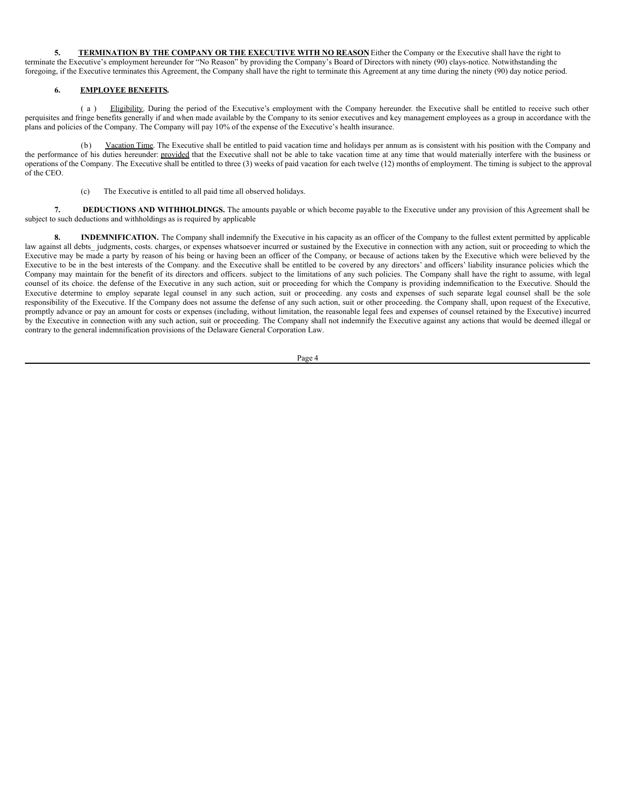**5. TERMINATION BY THE COMPANY OR THE EXECUTIVE WITH NO REASON.** Either the Company or the Executive shall have the right to terminate the Executive's employment hereunder for "No Reason" by providing the Company's Board of Directors with ninety (90) clays-notice. Notwithstanding the foregoing, if the Executive terminates this Agreement, the Company shall have the right to terminate this Agreement at any time during the ninety (90) day notice period.

# **6. EMPLOYEE BENEFITS.**

( a ) Eligibility. During the period of the Executive's employment with the Company hereunder. the Executive shall be entitled to receive such other perquisites and fringe benefits generally if and when made available by the Company to its senior executives and key management employees as a group in accordance with the plans and policies of the Company. The Company will pay 10% of the expense of the Executive's health insurance.

(b) Vacation Time. The Executive shall be entitled to paid vacation time and holidays per annum as is consistent with his position with the Company and the performance of his duties hereunder: provided that the Executive shall not be able to take vacation time at any time that would materially interfere with the business or operations of the Company. The Executive shall be entitled to three (3) weeks of paid vacation for each twelve (12) months of employment. The timing is subject to the approval of the CEO.

(c) The Executive is entitled to all paid time all observed holidays.

**7. DEDUCTIONS AND WITHHOLDINGS.** The amounts payable or which become payable to the Executive under any provision of this Agreement shall be subject to such deductions and withholdings as is required by applicable

**8. INDEMNIFICATION.** The Company shall indemnify the Executive in his capacity as an officer of the Company to the fullest extent permitted by applicable law against all debts judgments, costs, charges, or expenses whatsoever incurred or sustained by the Executive in connection with any action, suit or proceeding to which the Executive may be made a party by reason of his being or having been an officer of the Company, or because of actions taken by the Executive which were believed by the Executive to be in the best interests of the Company. and the Executive shall be entitled to be covered by any directors' and officers' liability insurance policies which the Company may maintain for the benefit of its directors and officers. subject to the limitations of any such policies. The Company shall have the right to assume, with legal counsel of its choice. the defense of the Executive in any such action, suit or proceeding for which the Company is providing indemnification to the Executive. Should the Executive determine to employ separate legal counsel in any such action, suit or proceeding, any costs and expenses of such separate legal counsel shall be the sole responsibility of the Executive. If the Company does not assume the defense of any such action, suit or other proceeding. the Company shall, upon request of the Executive, promptly advance or pay an amount for costs or expenses (including, without limitation, the reasonable legal fees and expenses of counsel retained by the Executive) incurred by the Executive in connection with any such action, suit or proceeding. The Company shall not indemnify the Executive against any actions that would be deemed illegal or contrary to the general indemnification provisions of the Delaware General Corporation Law.

Page 4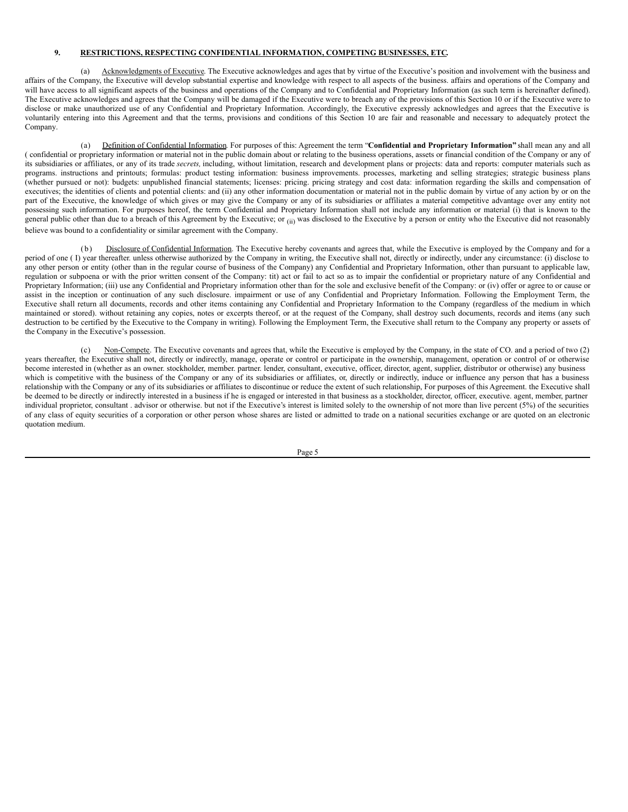## **9. RESTRICTIONS, RESPECTING CONFIDENTIAL INFORMATION, COMPETING BUSINESSES, ETC.**

(a) Acknowledgments of Executive. The Executive acknowledges and ages that by virtue of the Executive's position and involvement with the business and affairs of the Company, the Executive will develop substantial expertise and knowledge with respect to all aspects of the business. affairs and operations of the Company and will have access to all significant aspects of the business and operations of the Company and to Confidential and Proprietary Information (as such term is hereinafter defined). The Executive acknowledges and agrees that the Company will be damaged if the Executive were to breach any of the provisions of this Section 10 or if the Executive were to disclose or make unauthorized use of any Confidential and Proprietary Information. Accordingly, the Executive expressly acknowledges and agrees that the Executive is voluntarily entering into this Agreement and that the terms, provisions and conditions of this Section 10 are fair and reasonable and necessary to adequately protect the Company.

(a) Definition of Confidential Information. For purposes of this: Agreement the term "**Confidential and Proprietary Information"** shall mean any and all ( confidential or proprietary information or material not in the public domain about or relating to the business operations, assets or financial condition of the Company or any of its subsidiaries or affiliates, or any of its trade *secrets,* including, without limitation, research and development plans or projects: data and reports: computer materials such as programs. instructions and printouts; formulas: product testing information: business improvements. processes, marketing and selling strategies; strategic business plans (whether pursued or not): budgets: unpublished financial statements; licenses: pricing. pricing strategy and cost data: information regarding the skills and compensation of executives; the identities of clients and potential clients: and (ii) any other information documentation or material not in the public domain by virtue of any action by or on the part of the Executive, the knowledge of which gives or may give the Company or any of its subsidiaries or affiliates a material competitive advantage over any entity not possessing such information. For purposes hereof, the term Confidential and Proprietary Information shall not include any information or material (i) that is known to the general public other than due to a breach of this Agreement by the Executive; or  $(i)$  was disclosed to the Executive by a person or entity who the Executive did not reasonably believe was bound to a confidentiality or similar agreement with the Company.

Disclosure of Confidential Information. The Executive hereby covenants and agrees that, while the Executive is employed by the Company and for a period of one (I) year thereafter. unless otherwise authorized by the Company in writing, the Executive shall not, directly or indirectly, under any circumstance: (i) disclose to any other person or entity (other than in the regular course of business of the Company) any Confidential and Proprietary Information, other than pursuant to applicable law, regulation or subpoena or with the prior written consent of the Company: tit) act or fail to act so as to impair the confidential or proprietary nature of any Confidential and Proprietary Information; (iii) use any Confidential and Proprietary information other than for the sole and exclusive benefit of the Company: or (iv) offer or agree to or cause or assist in the inception or continuation of any such disclosure. impairment or use of any Confidential and Proprietary Information. Following the Employment Term, the Executive shall return all documents, records and other items containing any Confidential and Proprietary Information to the Company (regardless of the medium in which maintained or stored). without retaining any copies, notes or excerpts thereof, or at the request of the Company, shall destroy such documents, records and items (any such destruction to be certified by the Executive to the Company in writing). Following the Employment Term, the Executive shall return to the Company any property or assets of the Company in the Executive's possession.

(c) Non-Compete. The Executive covenants and agrees that, while the Executive is employed by the Company, in the state of CO. and a period of two (2) years thereafter, the Executive shall not, directly or indirectly, manage, operate or control or participate in the ownership, management, operation or control of or otherwise become interested in (whether as an owner. stockholder, member. partner. lender, consultant, executive, officer, director, agent, supplier, distributor or otherwise) any business which is competitive with the business of the Company or any of its subsidiaries or affiliates, or, directly or indirectly, induce or influence any person that has a business relationship with the Company or any of its subsidiaries or affiliates to discontinue or reduce the extent of such relationship, For purposes of this Agreement. the Executive shall be deemed to be directly or indirectly interested in a business if he is engaged or interested in that business as a stockholder, director, officer, executive. agent, member, partner individual proprietor, consultant . advisor or otherwise. but not if the Executive's interest is limited solely to the ownership of not more than live percent (5%) of the securities of any class of equity securities of a corporation or other person whose shares are listed or admitted to trade on a national securities exchange or are quoted on an electronic quotation medium.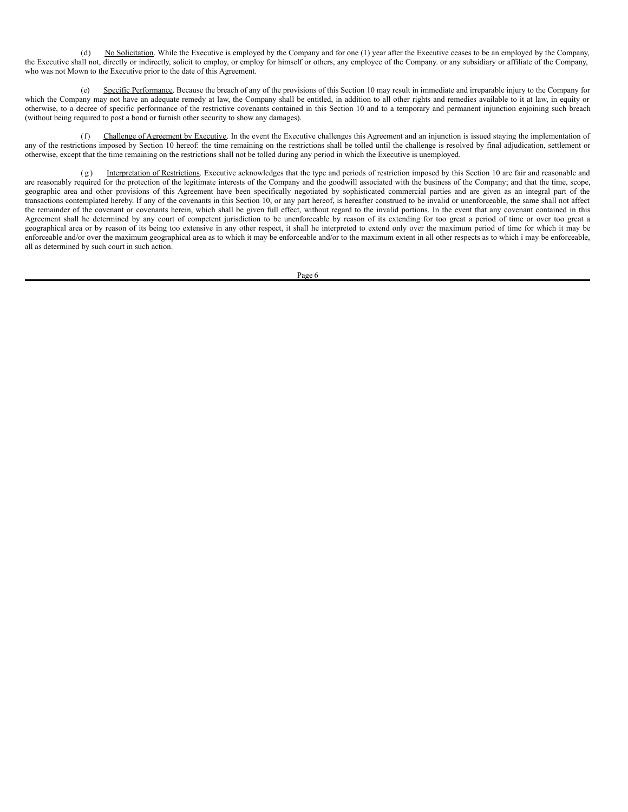(d) No Solicitation. While the Executive is employed by the Company and for one (1) year after the Executive ceases to be an employed by the Company, the Executive shall not, directly or indirectly, solicit to employ, or employ for himself or others, any employee of the Company. or any subsidiary or affiliate of the Company, who was not Mown to the Executive prior to the date of this Agreement.

(e) Specific Performance. Because the breach of any of the provisions of this Section 10 may result in immediate and irreparable injury to the Company for which the Company may not have an adequate remedy at law, the Company shall be entitled, in addition to all other rights and remedies available to it at law, in equity or otherwise, to a decree of specific performance of the restrictive covenants contained in this Section 10 and to a temporary and permanent injunction enjoining such breach (without being required to post a bond or furnish other security to show any damages).

(f) Challenge of Agreement by Executive. In the event the Executive challenges this Agreement and an injunction is issued staying the implementation of any of the restrictions imposed by Section 10 hereof: the time remaining on the restrictions shall be tolled until the challenge is resolved by final adjudication, settlement or otherwise, except that the time remaining on the restrictions shall not be tolled during any period in which the Executive is unemployed.

(g) Interpretation of Restrictions. Executive acknowledges that the type and periods of restriction imposed by this Section 10 are fair and reasonable and are reasonably required for the protection of the legitimate interests of the Company and the goodwill associated with the business of the Company; and that the time, scope, geographic area and other provisions of this Agreement have been specifically negotiated by sophisticated commercial parties and are given as an integral part of the transactions contemplated hereby. If any of the covenants in this Section 10, or any part hereof, is hereafter construed to be invalid or unenforceable, the same shall not affect the remainder of the covenant or covenants herein, which shall be given full effect, without regard to the invalid portions. In the event that any covenant contained in this Agreement shall he determined by any court of competent jurisdiction to be unenforceable by reason of its extending for too great a period of time or over too great a geographical area or by reason of its being too extensive in any other respect, it shall he interpreted to extend only over the maximum period of time for which it may be enforceable and/or over the maximum geographical area as to which it may be enforceable and/or to the maximum extent in all other respects as to which i may be enforceable, all as determined by such court in such action.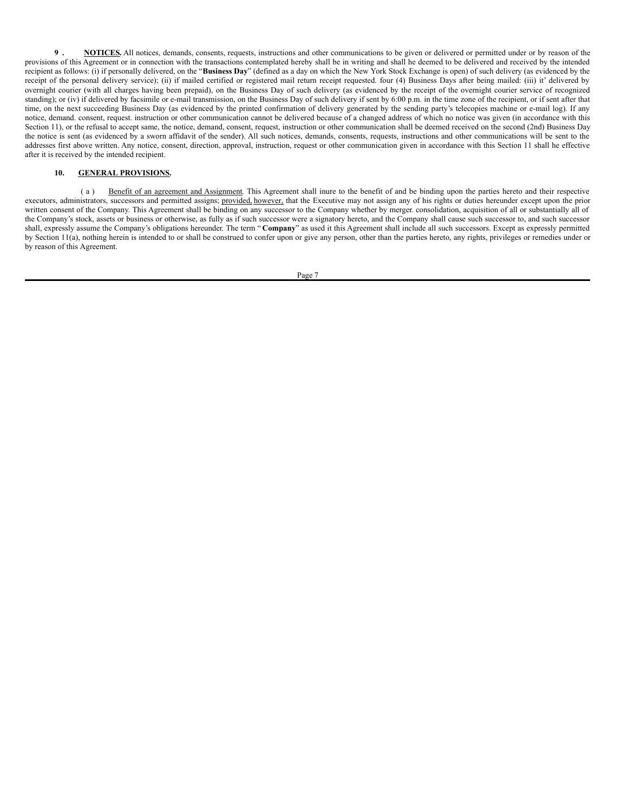**9 . NOTICES.** All notices, demands, consents, requests, instructions and other communications to be given or delivered or permitted under or by reason of the provisions of this Agreement or in connection with the transactions contemplated hereby shall be in writing and shall he deemed to be delivered and received by the intended recipient as follows: (i) if personally delivered, on the "**Business Day**" (defined as a day on which the New York Stock Exchange is open) of such delivery (as evidenced by the receipt of the personal delivery service); (ii) if mailed certified or registered mail return receipt requested. four (4) Business Days after being mailed: (iii) it' delivered by overnight courier (with all charges having been prepaid), on the Business Day of such delivery (as evidenced by the receipt of the overnight courier service of recognized standing); or (iv) if delivered by facsimile or e-mail transmission, on the Business Day of such delivery if sent by 6:00 p.m. in the time zone of the recipient, or if sent after that time, on the next succeeding Business Day (as evidenced by the printed confirmation of delivery generated by the sending party's telecopies machine or e-mail log). If any notice, demand. consent, request. instruction or other communication cannot be delivered because of a changed address of which no notice was given (in accordance with this Section 11), or the refusal to accept same, the notice, demand, consent, request, instruction or other communication shall be deemed received on the second (2nd) Business Day the notice is sent (as evidenced by a sworn affidavit of the sender). All such notices, demands, consents, requests, instructions and other communications will be sent to the addresses first above written. Any notice, consent, direction, approval, instruction, request or other communication given in accordance with this Section 11 shall he effective after it is received by the intended recipient.

### **10. GENERAL PROVISIONS.**

(a) Benefit of an agreement and Assignment. This Agreement shall inure to the benefit of and be binding upon the parties hereto and their respective executors, administrators, successors and permitted assigns; provided, however, that the Executive may not assign any of his rights or duties hereunder except upon the prior written consent of the Company. This Agreement shall be binding on any successor to the Company whether by merger. consolidation, acquisition of all or substantially all of the Company's stock, assets or business or otherwise, as fully as if such successor were a signatory hereto, and the Company shall cause such successor to, and such successor shall, expressly assume the Company's obligations hereunder. The term " **Company**" as used it this Agreement shall include all such successors. Except as expressly permitted by Section 11(a), nothing herein is intended to or shall be construed to confer upon or give any person, other than the parties hereto, any rights, privileges or remedies under or by reason of this Agreement.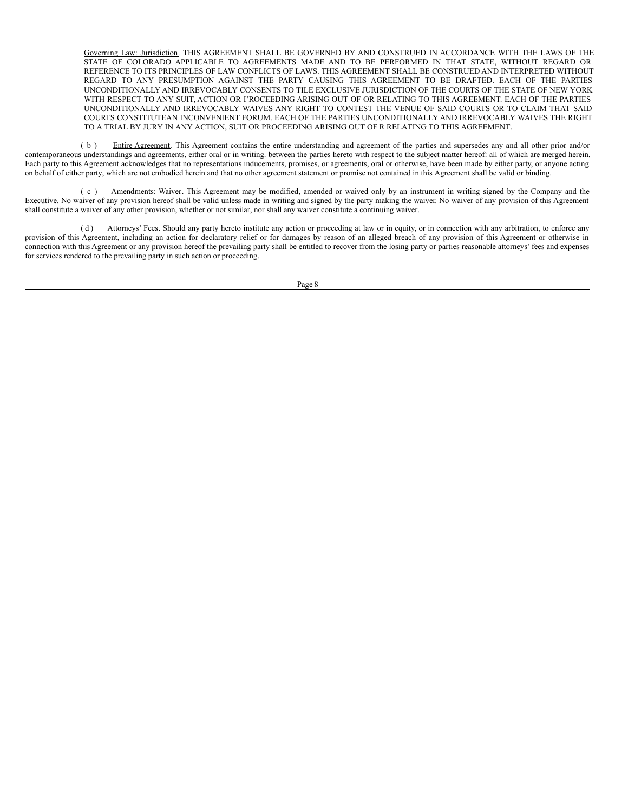Governing Law: Jurisdiction. THIS AGREEMENT SHALL BE GOVERNED BY AND CONSTRUED IN ACCORDANCE WITH THE LAWS OF THE STATE OF COLORADO APPLICABLE TO AGREEMENTS MADE AND TO BE PERFORMED IN THAT STATE, WITHOUT REGARD OR REFERENCE TO ITS PRINCIPLES OF LAW CONFLICTS OF LAWS. THIS AGREEMENT SHALL BE CONSTRUED AND INTERPRETED WITHOUT REGARD TO ANY PRESUMPTION AGAINST THE PARTY CAUSING THIS AGREEMENT TO BE DRAFTED. EACH OF THE PARTIES UNCONDITIONALLY AND IRREVOCABLY CONSENTS TO TILE EXCLUSIVE JURISDICTION OF THE COURTS OF THE STATE OF NEW YORK WITH RESPECT TO ANY SUIT, ACTION OR I'ROCEEDING ARISING OUT OF OR RELATING TO THIS AGREEMENT. EACH OF THE PARTIES UNCONDITIONALLY AND IRREVOCABLY WAIVES ANY RIGHT TO CONTEST THE VENUE OF SAID COURTS OR TO CLAIM THAT SAID COURTS CONSTITUTEAN INCONVENIENT FORUM. EACH OF THE PARTIES UNCONDITIONALLY AND IRREVOCABLY WAIVES THE RIGHT TO A TRIAL BY JURY IN ANY ACTION, SUIT OR PROCEEDING ARISING OUT OF R RELATING TO THIS AGREEMENT.

( b ) Entire Agreement. This Agreement contains the entire understanding and agreement of the parties and supersedes any and all other prior and/or contemporaneous understandings and agreements, either oral or in writing. between the parties hereto with respect to the subject matter hereof: all of which are merged herein. Each party to this Agreement acknowledges that no representations inducements, promises, or agreements, oral or otherwise, have been made by either party, or anyone acting on behalf of either party, which are not embodied herein and that no other agreement statement or promise not contained in this Agreement shall be valid or binding.

( c ) Amendments: Waiver. This Agreement may be modified, amended or waived only by an instrument in writing signed by the Company and the Executive. No waiver of any provision hereof shall be valid unless made in writing and signed by the party making the waiver. No waiver of any provision of this Agreement shall constitute a waiver of any other provision, whether or not similar, nor shall any waiver constitute a continuing waiver.

(d) Attorneys' Fees. Should any party hereto institute any action or proceeding at law or in equity, or in connection with any arbitration, to enforce any provision of this Agreement, including an action for declaratory relief or for damages by reason of an alleged breach of any provision of this Agreement or otherwise in connection with this Agreement or any provision hereof the prevailing party shall be entitled to recover from the losing party or parties reasonable attorneys' fees and expenses for services rendered to the prevailing party in such action or proceeding.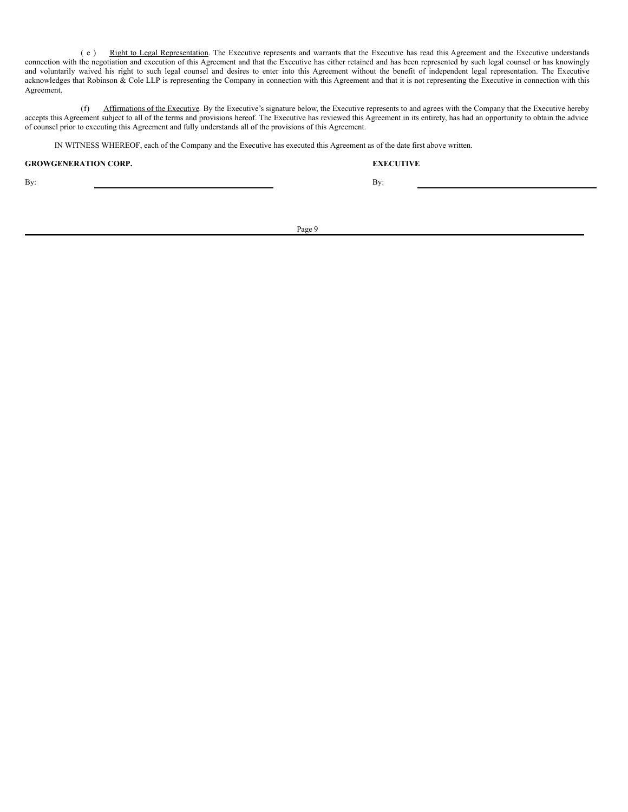( e ) Right to Legal Representation. The Executive represents and warrants that the Executive has read this Agreement and the Executive understands connection with the negotiation and execution of this Agreement and that the Executive has either retained and has been represented by such legal counsel or has knowingly and voluntarily waived his right to such legal counsel and desires to enter into this Agreement without the benefit of independent legal representation. The Executive acknowledges that Robinson & Cole LLP is representing the Company in connection with this Agreement and that it is not representing the Executive in connection with this Agreement.

(f) Affirmations of the Executive. By the Executive's signature below, the Executive represents to and agrees with the Company that the Executive hereby accepts this Agreement subject to all of the terms and provisions hereof. The Executive has reviewed this Agreement in its entirety, has had an opportunity to obtain the advice of counsel prior to executing this Agreement and fully understands all of the provisions of this Agreement.

IN WITNESS WHEREOF, each of the Company and the Executive has executed this Agreement as of the date first above written.

# **GROWGENERATION CORP. EXECUTIVE**

By: By: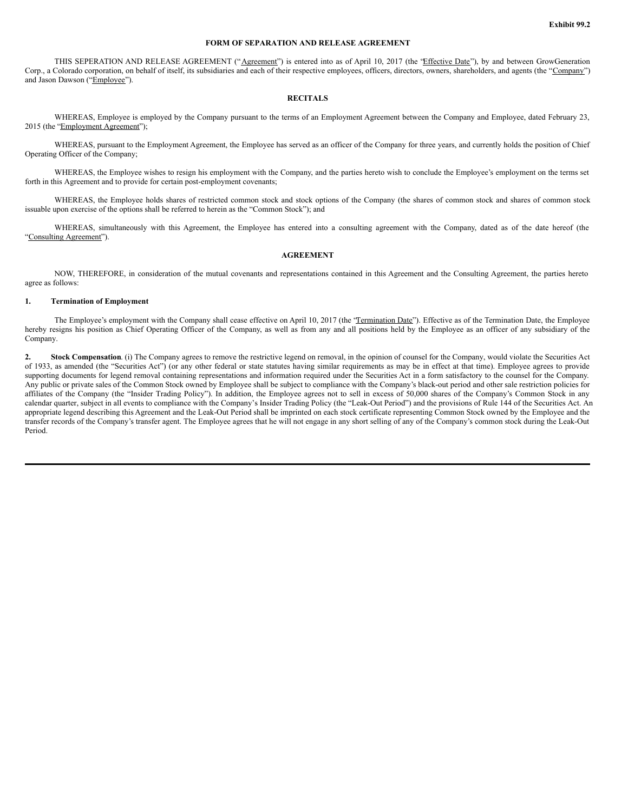## **FORM OF SEPARATION AND RELEASE AGREEMENT**

THIS SEPERATION AND RELEASE AGREEMENT ("Agreement") is entered into as of April 10, 2017 (the 'Effective Date''), by and between GrowGeneration Corp., a Colorado corporation, on behalf of itself, its subsidiaries and each of their respective employees, officers, directors, owners, shareholders, and agents (the "Company") and Jason Dawson ("Employee").

## **RECITALS**

WHEREAS, Employee is employed by the Company pursuant to the terms of an Employment Agreement between the Company and Employee, dated February 23, 2015 (the "Employment Agreement");

WHEREAS, pursuant to the Employment Agreement, the Employee has served as an officer of the Company for three years, and currently holds the position of Chief Operating Officer of the Company;

WHEREAS, the Employee wishes to resign his employment with the Company, and the parties hereto wish to conclude the Employee's employment on the terms set forth in this Agreement and to provide for certain post-employment covenants;

WHEREAS, the Employee holds shares of restricted common stock and stock options of the Company (the shares of common stock and shares of common stock issuable upon exercise of the options shall be referred to herein as the "Common Stock"); and

WHEREAS, simultaneously with this Agreement, the Employee has entered into a consulting agreement with the Company, dated as of the date hereof (the "Consulting Agreement").

### **AGREEMENT**

NOW, THEREFORE, in consideration of the mutual covenants and representations contained in this Agreement and the Consulting Agreement, the parties hereto agree as follows:

#### **1. Termination of Employment**

The Employee's employment with the Company shall cease effective on April 10, 2017 (the 'Termination Date'"). Effective as of the Termination Date, the Employee hereby resigns his position as Chief Operating Officer of the Company, as well as from any and all positions held by the Employee as an officer of any subsidiary of the Company.

**2. Stock Compensation**. (i) The Company agrees to remove the restrictive legend on removal, in the opinion of counsel for the Company, would violate the Securities Act of 1933, as amended (the "Securities Act") (or any other federal or state statutes having similar requirements as may be in effect at that time). Employee agrees to provide supporting documents for legend removal containing representations and information required under the Securities Act in a form satisfactory to the counsel for the Company. Any public or private sales of the Common Stock owned by Employee shall be subject to compliance with the Company's black-out period and other sale restriction policies for affiliates of the Company (the "Insider Trading Policy"). In addition, the Employee agrees not to sell in excess of 50,000 shares of the Company's Common Stock in any calendar quarter, subject in all events to compliance with the Company's Insider Trading Policy (the "Leak-Out Period") and the provisions of Rule 144 of the Securities Act. An appropriate legend describing this Agreement and the Leak-Out Period shall be imprinted on each stock certificate representing Common Stock owned by the Employee and the transfer records of the Company's transfer agent. The Employee agrees that he will not engage in any short selling of any of the Company's common stock during the Leak-Out Period.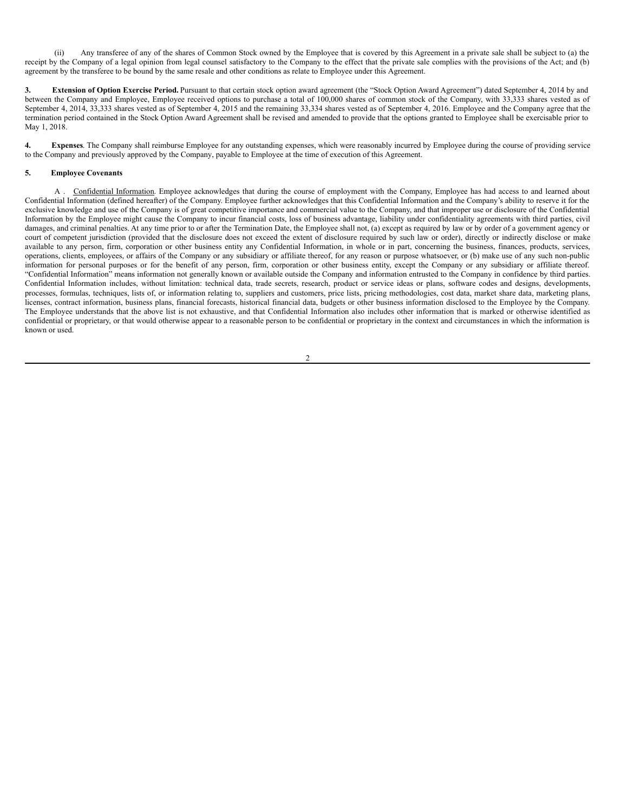(ii) Any transferee of any of the shares of Common Stock owned by the Employee that is covered by this Agreement in a private sale shall be subject to (a) the receipt by the Company of a legal opinion from legal counsel satisfactory to the Company to the effect that the private sale complies with the provisions of the Act; and (b) agreement by the transferee to be bound by the same resale and other conditions as relate to Employee under this Agreement.

**3. Extension of Option Exercise Period.** Pursuant to that certain stock option award agreement (the "Stock Option Award Agreement") dated September 4, 2014 by and between the Company and Employee, Employee received options to purchase a total of 100,000 shares of common stock of the Company, with 33,333 shares vested as of September 4, 2014, 33,333 shares vested as of September 4, 2015 and the remaining 33,334 shares vested as of September 4, 2016. Employee and the Company agree that the termination period contained in the Stock Option Award Agreement shall be revised and amended to provide that the options granted to Employee shall be exercisable prior to May 1, 2018.

**4. Expenses**. The Company shall reimburse Employee for any outstanding expenses, which were reasonably incurred by Employee during the course of providing service to the Company and previously approved by the Company, payable to Employee at the time of execution of this Agreement.

# **5. Employee Covenants**

A . Confidential Information. Employee acknowledges that during the course of employment with the Company, Employee has had access to and learned about Confidential Information (defined hereafter) of the Company. Employee further acknowledges that this Confidential Information and the Company's ability to reserve it for the exclusive knowledge and use of the Company is of great competitive importance and commercial value to the Company, and that improper use or disclosure of the Confidential Information by the Employee might cause the Company to incur financial costs, loss of business advantage, liability under confidentiality agreements with third parties, civil damages, and criminal penalties. At any time prior to or after the Termination Date, the Employee shall not, (a) except as required by law or by order of a government agency or court of competent jurisdiction (provided that the disclosure does not exceed the extent of disclosure required by such law or order), directly or indirectly disclose or make available to any person, firm, corporation or other business entity any Confidential Information, in whole or in part, concerning the business, finances, products, services, operations, clients, employees, or affairs of the Company or any subsidiary or affiliate thereof, for any reason or purpose whatsoever, or (b) make use of any such non-public information for personal purposes or for the benefit of any person, firm, corporation or other business entity, except the Company or any subsidiary or affiliate thereof. "Confidential Information" means information not generally known or available outside the Company and information entrusted to the Company in confidence by third parties. Confidential Information includes, without limitation: technical data, trade secrets, research, product or service ideas or plans, software codes and designs, developments, processes, formulas, techniques, lists of, or information relating to, suppliers and customers, price lists, pricing methodologies, cost data, market share data, marketing plans, licenses, contract information, business plans, financial forecasts, historical financial data, budgets or other business information disclosed to the Employee by the Company. The Employee understands that the above list is not exhaustive, and that Confidential Information also includes other information that is marked or otherwise identified as confidential or proprietary, or that would otherwise appear to a reasonable person to be confidential or proprietary in the context and circumstances in which the information is known or used.

 $\overline{2}$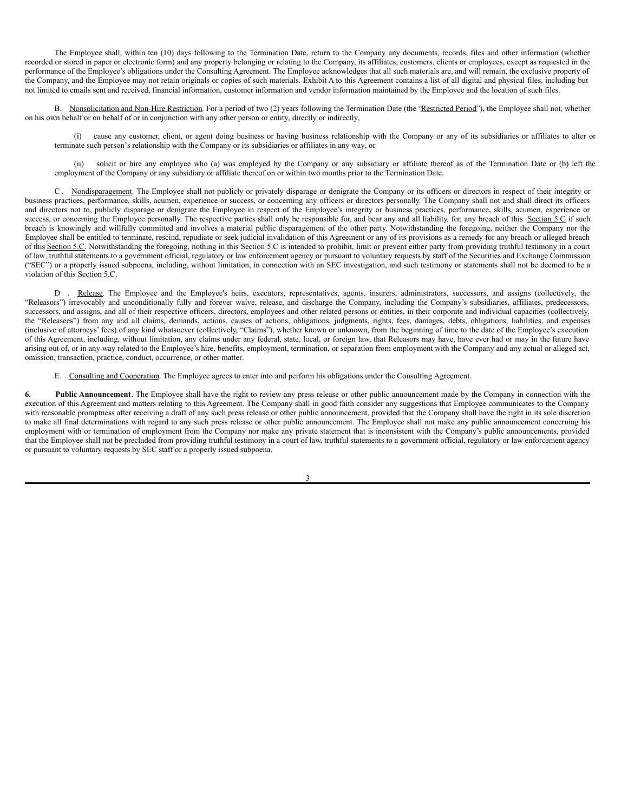The Employee shall, within ten (10) days following to the Termination Date, return to the Company any documents, records, files and other information (whether recorded or stored in paper or electronic form) and any property belonging or relating to the Company, its affiliates, customers, clients or employees, except as requested in the performance of the Employee's obligations under the Consulting Agreement. The Employee acknowledges that all such materials are, and will remain, the exclusive property of the Company, and the Employee may not retain originals or copies of such materials. Exhibit A to this Agreement contains a list of all digital and physical files, including but not limited to emails sent and received, financial information, customer information and vendor information maintained by the Employee and the location of such files.

B. Nonsolicitation and Non-Hire Restriction. For a period of two (2) years following the Termination Date (the "Restricted Period"), the Employee shall not, whether on his own behalf or on behalf of or in conjunction with any other person or entity, directly or indirectly,

(i) cause any customer, client, or agent doing business or having business relationship with the Company or any of its subsidiaries or affiliates to alter or terminate such person's relationship with the Company or its subsidiaries or affiliates in any way, or

(ii) solicit or hire any employee who (a) was employed by the Company or any subsidiary or affiliate thereof as of the Termination Date or (b) left the employment of the Company or any subsidiary or affiliate thereof on or within two months prior to the Termination Date.

C. Nondisparagement. The Employee shall not publicly or privately disparage or denigrate the Company or its officers or directors in respect of their integrity or business practices, performance, skills, acumen, experience or success, or concerning any officers or directors personally. The Company shall not and shall direct its officers and directors not to, publicly disparage or denigrate the Employee in respect of the Employee's integrity or business practices, performance, skills, acumen, experience or success, or concerning the Employee personally. The respective parties shall only be responsible for, and bear any and all liability, for, any breach of this Section 5.C if such breach is knowingly and willfully committed and involves a material public disparagement of the other party. Notwithstanding the foregoing, neither the Company nor the Employee shall be entitled to terminate, rescind, repudiate or seek judicial invalidation of this Agreement or any of its provisions as a remedy for any breach or alleged breach of this Section 5.C. Notwithstanding the foregoing, nothing in this Section 5.C is intended to prohibit, limit or prevent either party from providing truthful testimony in a court of law, truthful statements to a government official, regulatory or law enforcement agency or pursuant to voluntary requests by staff of the Securities and Exchange Commission ("SEC") or a properly issued subpoena, including, without limitation, in connection with an SEC investigation, and such testimony or statements shall not be deemed to be a violation of this Section 5.C.

D . Release. The Employee and the Employee's heirs, executors, representatives, agents, insurers, administrators, successors, and assigns (collectively, the "Releasors") irrevocably and unconditionally fully and forever waive, release, and discharge the Company, including the Company's subsidiaries, affiliates, predecessors, successors, and assigns, and all of their respective officers, directors, employees and other related persons or entities, in their corporate and individual capacities (collectively, the "Releasees") from any and all claims, demands, actions, causes of actions, obligations, judgments, rights, fees, damages, debts, obligations, liabilities, and expenses (inclusive of attorneys' fees) of any kind whatsoever (collectively, "Claims"), whether known or unknown, from the beginning of time to the date of the Employee's execution of this Agreement, including, without limitation, any claims under any federal, state, local, or foreign law, that Releasors may have, have ever had or may in the future have arising out of, or in any way related to the Employee's hire, benefits, employment, termination, or separation from employment with the Company and any actual or alleged act, omission, transaction, practice, conduct, occurrence, or other matter.

E. Consulting and Cooperation. The Employee agrees to enter into and perform his obligations under the Consulting Agreement.

**6. Public Announcement**. The Employee shall have the right to review any press release or other public announcement made by the Company in connection with the execution of this Agreement and matters relating to this Agreement. The Company shall in good faith consider any suggestions that Employee communicates to the Company with reasonable promptness after receiving a draft of any such press release or other public announcement, provided that the Company shall have the right in its sole discretion to make all final determinations with regard to any such press release or other public announcement. The Employee shall not make any public announcement concerning his employment with or termination of employment from the Company nor make any private statement that is inconsistent with the Company's public announcements, provided that the Employee shall not be precluded from providing truthful testimony in a court of law, truthful statements to a government official, regulatory or law enforcement agency or pursuant to voluntary requests by SEC staff or a properly issued subpoena.

3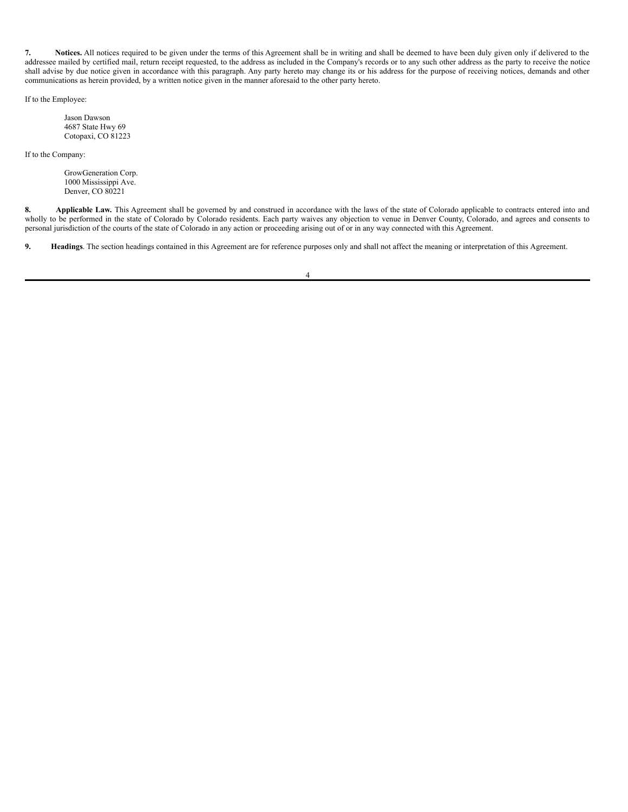**7. Notices.** All notices required to be given under the terms of this Agreement shall be in writing and shall be deemed to have been duly given only if delivered to the addressee mailed by certified mail, return receipt requested, to the address as included in the Company's records or to any such other address as the party to receive the notice shall advise by due notice given in accordance with this paragraph. Any party hereto may change its or his address for the purpose of receiving notices, demands and other communications as herein provided, by a written notice given in the manner aforesaid to the other party hereto.

If to the Employee:

Jason Dawson 4687 State Hwy 69 Cotopaxi, CO 81223

If to the Company:

GrowGeneration Corp. 1000 Mississippi Ave. Denver, CO 80221

**8. Applicable Law.** This Agreement shall be governed by and construed in accordance with the laws of the state of Colorado applicable to contracts entered into and wholly to be performed in the state of Colorado by Colorado residents. Each party waives any objection to venue in Denver County, Colorado, and agrees and consents to personal jurisdiction of the courts of the state of Colorado in any action or proceeding arising out of or in any way connected with this Agreement.

**9. Headings**. The section headings contained in this Agreement are for reference purposes only and shall not affect the meaning or interpretation of this Agreement.

4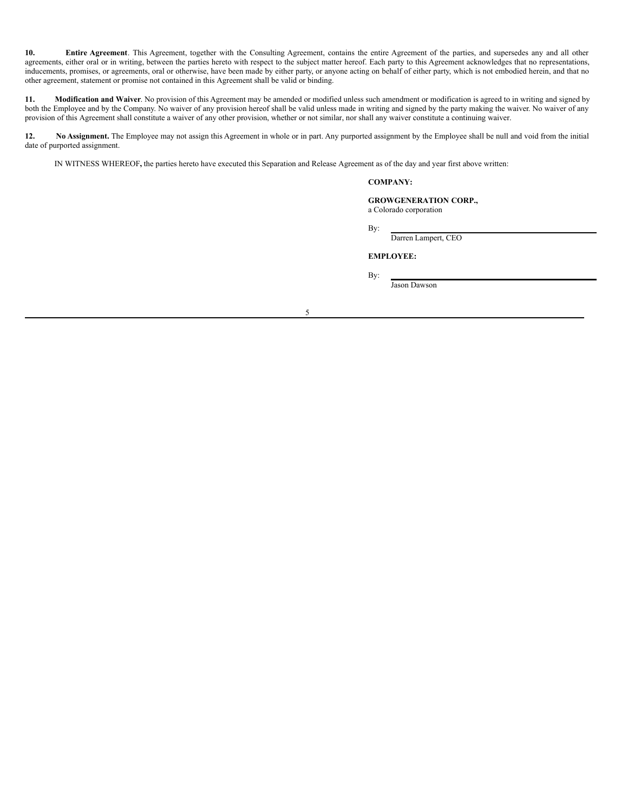**10. Entire Agreement**. This Agreement, together with the Consulting Agreement, contains the entire Agreement of the parties, and supersedes any and all other agreements, either oral or in writing, between the parties hereto with respect to the subject matter hereof. Each party to this Agreement acknowledges that no representations, inducements, promises, or agreements, oral or otherwise, have been made by either party, or anyone acting on behalf of either party, which is not embodied herein, and that no other agreement, statement or promise not contained in this Agreement shall be valid or binding.

**11. Modification and Waiver**. No provision of this Agreement may be amended or modified unless such amendment or modification is agreed to in writing and signed by both the Employee and by the Company. No waiver of any provision hereof shall be valid unless made in writing and signed by the party making the waiver. No waiver of any provision of this Agreement shall constitute a waiver of any other provision, whether or not similar, nor shall any waiver constitute a continuing waiver.

**12. No Assignment.** The Employee may not assign this Agreement in whole or in part. Any purported assignment by the Employee shall be null and void from the initial date of purported assignment.

IN WITNESS WHEREOF**,** the parties hereto have executed this Separation and Release Agreement as of the day and year first above written:

## **COMPANY:**

**GROWGENERATION CORP.,** a Colorado corporation

By:

Darren Lampert, CEO

**EMPLOYEE:**

By:

Jason Dawson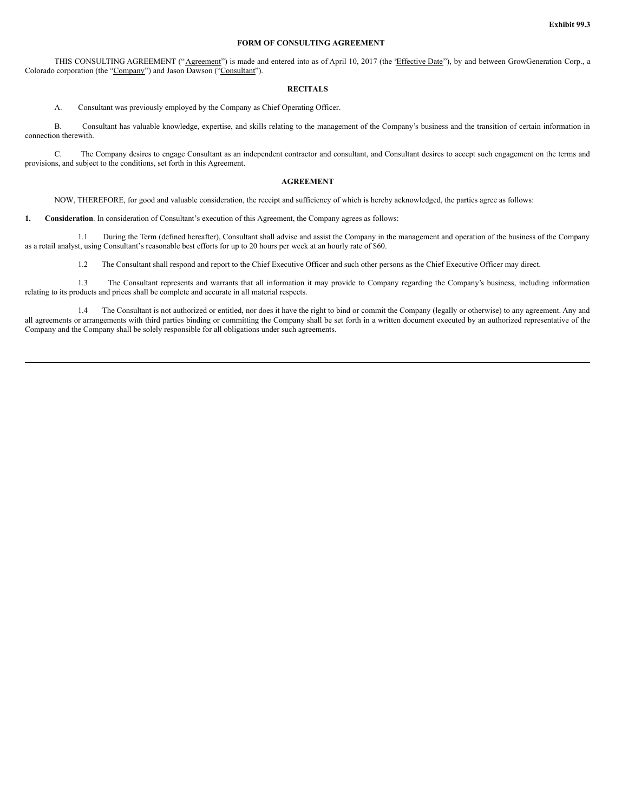### **FORM OF CONSULTING AGREEMENT**

THIS CONSULTING AGREEMENT ("Agreement") is made and entered into as of April 10, 2017 (the 'Effective Date''), by and between GrowGeneration Corp., a Colorado corporation (the "Company") and Jason Dawson ("Consultant").

# **RECITALS**

A. Consultant was previously employed by the Company as Chief Operating Officer.

B. Consultant has valuable knowledge, expertise, and skills relating to the management of the Company's business and the transition of certain information in connection therewith.

C. The Company desires to engage Consultant as an independent contractor and consultant, and Consultant desires to accept such engagement on the terms and provisions, and subject to the conditions, set forth in this Agreement.

# **AGREEMENT**

NOW, THEREFORE, for good and valuable consideration, the receipt and sufficiency of which is hereby acknowledged, the parties agree as follows:

**1. Consideration**. In consideration of Consultant's execution of this Agreement, the Company agrees as follows:

1.1 During the Term (defined hereafter), Consultant shall advise and assist the Company in the management and operation of the business of the Company as a retail analyst, using Consultant's reasonable best efforts for up to 20 hours per week at an hourly rate of \$60.

1.2 The Consultant shall respond and report to the Chief Executive Officer and such other persons as the Chief Executive Officer may direct.

1.3 The Consultant represents and warrants that all information it may provide to Company regarding the Company's business, including information relating to its products and prices shall be complete and accurate in all material respects.

1.4 The Consultant is not authorized or entitled, nor does it have the right to bind or commit the Company (legally or otherwise) to any agreement. Any and all agreements or arrangements with third parties binding or committing the Company shall be set forth in a written document executed by an authorized representative of the Company and the Company shall be solely responsible for all obligations under such agreements.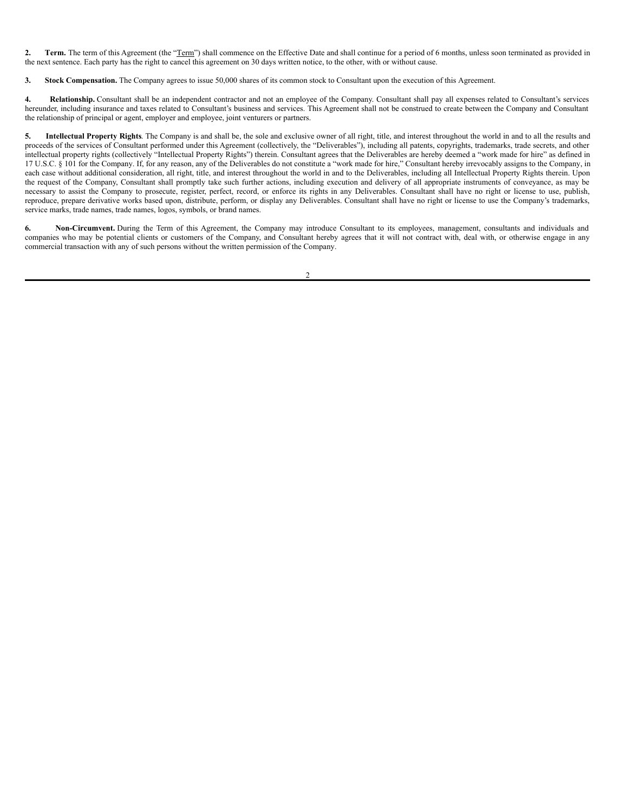2. Term. The term of this Agreement (the "Term") shall commence on the Effective Date and shall continue for a period of 6 months, unless soon terminated as provided in the next sentence. Each party has the right to cancel this agreement on 30 days written notice, to the other, with or without cause.

**3. Stock Compensation.** The Company agrees to issue 50,000 shares of its common stock to Consultant upon the execution of this Agreement.

**4. Relationship.** Consultant shall be an independent contractor and not an employee of the Company. Consultant shall pay all expenses related to Consultant's services hereunder, including insurance and taxes related to Consultant's business and services. This Agreement shall not be construed to create between the Company and Consultant the relationship of principal or agent, employer and employee, joint venturers or partners.

**5. Intellectual Property Rights**. The Company is and shall be, the sole and exclusive owner of all right, title, and interest throughout the world in and to all the results and proceeds of the services of Consultant performed under this Agreement (collectively, the "Deliverables"), including all patents, copyrights, trademarks, trade secrets, and other intellectual property rights (collectively "Intellectual Property Rights") therein. Consultant agrees that the Deliverables are hereby deemed a "work made for hire" as defined in 17 U.S.C. § 101 for the Company. If, for any reason, any of the Deliverables do not constitute a "work made for hire," Consultant hereby irrevocably assigns to the Company, in each case without additional consideration, all right, title, and interest throughout the world in and to the Deliverables, including all Intellectual Property Rights therein. Upon the request of the Company, Consultant shall promptly take such further actions, including execution and delivery of all appropriate instruments of conveyance, as may be necessary to assist the Company to prosecute, register, perfect, record, or enforce its rights in any Deliverables. Consultant shall have no right or license to use, publish, reproduce, prepare derivative works based upon, distribute, perform, or display any Deliverables. Consultant shall have no right or license to use the Company's trademarks, service marks, trade names, trade names, logos, symbols, or brand names.

**6. Non-Circumvent.** During the Term of this Agreement, the Company may introduce Consultant to its employees, management, consultants and individuals and companies who may be potential clients or customers of the Company, and Consultant hereby agrees that it will not contract with, deal with, or otherwise engage in any commercial transaction with any of such persons without the written permission of the Company.

 $\mathcal{L}$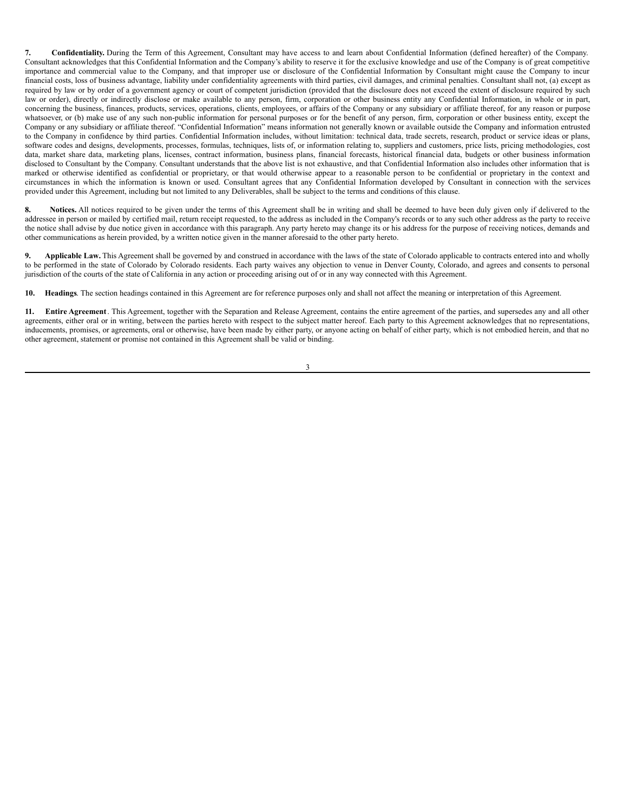**7. Confidentiality.** During the Term of this Agreement, Consultant may have access to and learn about Confidential Information (defined hereafter) of the Company. Consultant acknowledges that this Confidential Information and the Company's ability to reserve it for the exclusive knowledge and use of the Company is of great competitive importance and commercial value to the Company, and that improper use or disclosure of the Confidential Information by Consultant might cause the Company to incur financial costs, loss of business advantage, liability under confidentiality agreements with third parties, civil damages, and criminal penalties. Consultant shall not, (a) except as required by law or by order of a government agency or court of competent jurisdiction (provided that the disclosure does not exceed the extent of disclosure required by such law or order), directly or indirectly disclose or make available to any person, firm, corporation or other business entity any Confidential Information, in whole or in part, concerning the business, finances, products, services, operations, clients, employees, or affairs of the Company or any subsidiary or affiliate thereof, for any reason or purpose whatsoever, or (b) make use of any such non-public information for personal purposes or for the benefit of any person, firm, corporation or other business entity, except the Company or any subsidiary or affiliate thereof. "Confidential Information" means information not generally known or available outside the Company and information entrusted to the Company in confidence by third parties. Confidential Information includes, without limitation: technical data, trade secrets, research, product or service ideas or plans, software codes and designs, developments, processes, formulas, techniques, lists of, or information relating to, suppliers and customers, price lists, pricing methodologies, cost data, market share data, marketing plans, licenses, contract information, business plans, financial forecasts, historical financial data, budgets or other business information disclosed to Consultant by the Company. Consultant understands that the above list is not exhaustive, and that Confidential Information also includes other information that is marked or otherwise identified as confidential or proprietary, or that would otherwise appear to a reasonable person to be confidential or proprietary in the context and circumstances in which the information is known or used. Consultant agrees that any Confidential Information developed by Consultant in connection with the services provided under this Agreement, including but not limited to any Deliverables, shall be subject to the terms and conditions of this clause.

**8. Notices.** All notices required to be given under the terms of this Agreement shall be in writing and shall be deemed to have been duly given only if delivered to the addressee in person or mailed by certified mail, return receipt requested, to the address as included in the Company's records or to any such other address as the party to receive the notice shall advise by due notice given in accordance with this paragraph. Any party hereto may change its or his address for the purpose of receiving notices, demands and other communications as herein provided, by a written notice given in the manner aforesaid to the other party hereto.

**9. Applicable Law.** This Agreement shall be governed by and construed in accordance with the laws of the state of Colorado applicable to contracts entered into and wholly to be performed in the state of Colorado by Colorado residents. Each party waives any objection to venue in Denver County, Colorado, and agrees and consents to personal jurisdiction of the courts of the state of California in any action or proceeding arising out of or in any way connected with this Agreement.

**10. Headings**. The section headings contained in this Agreement are for reference purposes only and shall not affect the meaning or interpretation of this Agreement.

**11. Entire Agreement**. This Agreement, together with the Separation and Release Agreement, contains the entire agreement of the parties, and supersedes any and all other agreements, either oral or in writing, between the parties hereto with respect to the subject matter hereof. Each party to this Agreement acknowledges that no representations, inducements, promises, or agreements, oral or otherwise, have been made by either party, or anyone acting on behalf of either party, which is not embodied herein, and that no other agreement, statement or promise not contained in this Agreement shall be valid or binding.

3